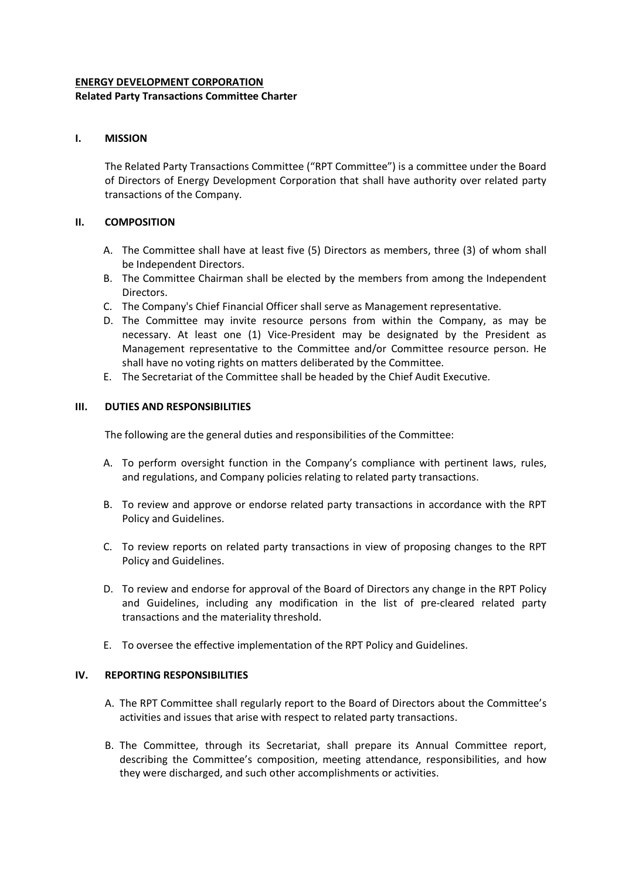# **ENERGY DEVELOPMENT CORPORATION Related Party Transactions Committee Charter**

## **I. MISSION**

The Related Party Transactions Committee ("RPT Committee") is a committee under the Board of Directors of Energy Development Corporation that shall have authority over related party transactions of the Company.

## **II. COMPOSITION**

- A. The Committee shall have at least five (5) Directors as members, three (3) of whom shall be Independent Directors.
- B. The Committee Chairman shall be elected by the members from among the Independent Directors.
- C. The Company's Chief Financial Officer shall serve as Management representative.
- D. The Committee may invite resource persons from within the Company, as may be necessary. At least one (1) Vice-President may be designated by the President as Management representative to the Committee and/or Committee resource person. He shall have no voting rights on matters deliberated by the Committee.
- E. The Secretariat of the Committee shall be headed by the Chief Audit Executive.

## **III. DUTIES AND RESPONSIBILITIES**

The following are the general duties and responsibilities of the Committee:

- A. To perform oversight function in the Company's compliance with pertinent laws, rules, and regulations, and Company policies relating to related party transactions.
- B. To review and approve or endorse related party transactions in accordance with the RPT Policy and Guidelines.
- C. To review reports on related party transactions in view of proposing changes to the RPT Policy and Guidelines.
- D. To review and endorse for approval of the Board of Directors any change in the RPT Policy and Guidelines, including any modification in the list of pre-cleared related party transactions and the materiality threshold.
- E. To oversee the effective implementation of the RPT Policy and Guidelines.

### **IV. REPORTING RESPONSIBILITIES**

- A. The RPT Committee shall regularly report to the Board of Directors about the Committee's activities and issues that arise with respect to related party transactions.
- B. The Committee, through its Secretariat, shall prepare its Annual Committee report, describing the Committee's composition, meeting attendance, responsibilities, and how they were discharged, and such other accomplishments or activities.